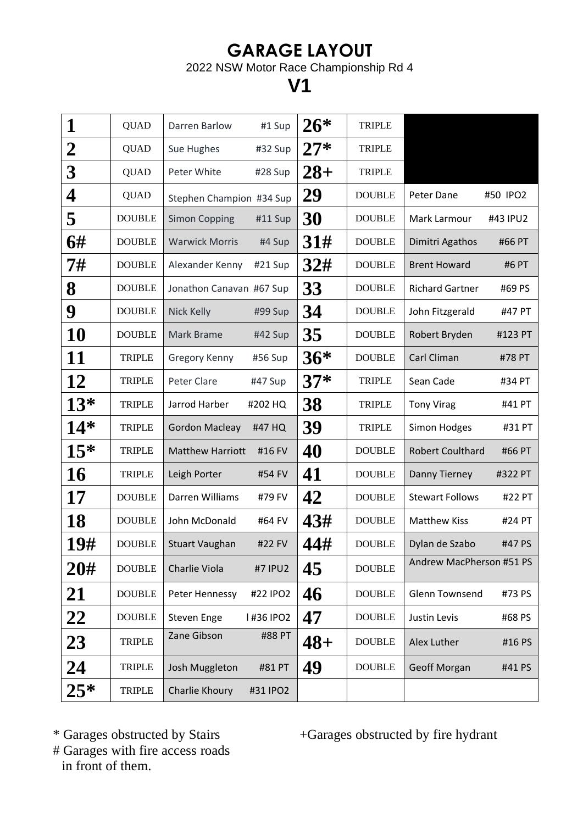## **GARAGE LAYOUT**

2022 NSW Motor Race Championship Rd 4

## **V1**

| 1              | <b>QUAD</b>   | Darren Barlow<br>#1 Sup           | $26*$  | <b>TRIPLE</b> |                                   |
|----------------|---------------|-----------------------------------|--------|---------------|-----------------------------------|
| $\overline{2}$ | <b>QUAD</b>   | Sue Hughes<br>#32 Sup             | $27*$  | <b>TRIPLE</b> |                                   |
| 3              | <b>QUAD</b>   | Peter White<br>#28 Sup            | $28 +$ | <b>TRIPLE</b> |                                   |
| 4              | <b>QUAD</b>   | Stephen Champion #34 Sup          | 29     | <b>DOUBLE</b> | Peter Dane<br>#50 IPO2            |
| 5              | <b>DOUBLE</b> | <b>Simon Copping</b><br>#11 Sup   | 30     | <b>DOUBLE</b> | Mark Larmour<br>#43 IPU2          |
| 6#             | <b>DOUBLE</b> | <b>Warwick Morris</b><br>#4 Sup   | 31#    | <b>DOUBLE</b> | Dimitri Agathos<br>#66 PT         |
| 7#             | <b>DOUBLE</b> | Alexander Kenny<br>#21 Sup        | 32#    | <b>DOUBLE</b> | <b>Brent Howard</b><br>#6 PT      |
| 8              | <b>DOUBLE</b> | Jonathon Canavan #67 Sup          | 33     | <b>DOUBLE</b> | <b>Richard Gartner</b><br>#69 PS  |
| 9              | <b>DOUBLE</b> | Nick Kelly<br>#99 Sup             | 34     | <b>DOUBLE</b> | John Fitzgerald<br>#47 PT         |
| <b>10</b>      | <b>DOUBLE</b> | Mark Brame<br>#42 Sup             | 35     | <b>DOUBLE</b> | Robert Bryden<br>#123 PT          |
| 11             | <b>TRIPLE</b> | #56 Sup<br>Gregory Kenny          | $36*$  | <b>DOUBLE</b> | Carl Climan<br>#78 PT             |
| 12             | <b>TRIPLE</b> | Peter Clare<br>#47 Sup            | $37*$  | <b>TRIPLE</b> | Sean Cade<br>#34 PT               |
| $13*$          | <b>TRIPLE</b> | Jarrod Harber<br>#202 HQ          | 38     | <b>TRIPLE</b> | <b>Tony Virag</b><br>#41 PT       |
| $14*$          | <b>TRIPLE</b> | <b>Gordon Macleay</b><br>#47 HQ   | 39     | <b>TRIPLE</b> | Simon Hodges<br>#31 PT            |
| $15*$          | <b>TRIPLE</b> | <b>Matthew Harriott</b><br>#16 FV | 40     | <b>DOUBLE</b> | <b>Robert Coulthard</b><br>#66 PT |
| <b>16</b>      | <b>TRIPLE</b> | Leigh Porter<br>#54 FV            | 41     | <b>DOUBLE</b> | Danny Tierney<br>#322 PT          |
| 17             | <b>DOUBLE</b> | Darren Williams<br>#79 FV         | 42     | <b>DOUBLE</b> | <b>Stewart Follows</b><br>#22 PT  |
| <b>18</b>      | <b>DOUBLE</b> | #64 FV<br>John McDonald           | 43#    | <b>DOUBLE</b> | <b>Matthew Kiss</b><br>#24 PT     |
| 19#            | <b>DOUBLE</b> | #22 FV<br><b>Stuart Vaughan</b>   | 44#    | <b>DOUBLE</b> | #47 PS<br>Dylan de Szabo          |
| 20#            | <b>DOUBLE</b> | Charlie Viola<br>#7 IPU2          | 45     | <b>DOUBLE</b> | Andrew MacPherson #51 PS          |
| 21             | <b>DOUBLE</b> | #22 IPO2<br>Peter Hennessy        | 46     | <b>DOUBLE</b> | <b>Glenn Townsend</b><br>#73 PS   |
| 22             | <b>DOUBLE</b> | Steven Enge<br>I #36 IPO2         | 47     | <b>DOUBLE</b> | Justin Levis<br>#68 PS            |
| 23             | <b>TRIPLE</b> | Zane Gibson<br>#88 PT             | $48+$  | <b>DOUBLE</b> | Alex Luther<br>#16 PS             |
| 24             | <b>TRIPLE</b> | Josh Muggleton<br>#81 PT          | 49     | <b>DOUBLE</b> | <b>Geoff Morgan</b><br>#41 PS     |
| $25*$          | <b>TRIPLE</b> | Charlie Khoury<br>#31 IPO2        |        |               |                                   |

\* Garages obstructed by Stairs +Garages obstructed by fire hydrant

# Garages with fire access roads in front of them.